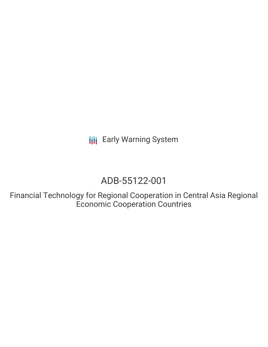**III** Early Warning System

# ADB-55122-001

Financial Technology for Regional Cooperation in Central Asia Regional Economic Cooperation Countries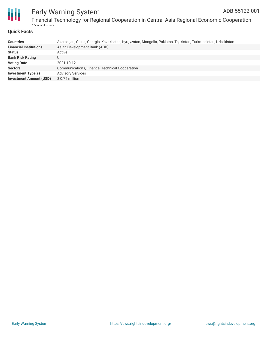



## Early Warning System Financial Technology for Regional Cooperation in Central Asia Regional Economic Cooperation

### **Quick Facts**

Countries

| <b>Countries</b>               | Azerbaijan, China, Georgia, Kazakhstan, Kyrgyzstan, Mongolia, Pakistan, Tajikistan, Turkmenistan, Uzbekistan |
|--------------------------------|--------------------------------------------------------------------------------------------------------------|
| <b>Financial Institutions</b>  | Asian Development Bank (ADB)                                                                                 |
| <b>Status</b>                  | Active                                                                                                       |
| <b>Bank Risk Rating</b>        |                                                                                                              |
| <b>Voting Date</b>             | 2021-10-12                                                                                                   |
| <b>Sectors</b>                 | Communications, Finance, Technical Cooperation                                                               |
| Investment Type(s)             | <b>Advisory Services</b>                                                                                     |
| <b>Investment Amount (USD)</b> | $$0.75$ million                                                                                              |
|                                |                                                                                                              |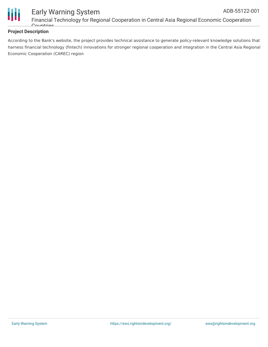



## Early Warning System Financial Technology for Regional Cooperation in Central Asia Regional Economic Cooperation Countries

## **Project Description**

According to the Bank's website, the project provides technical assistance to generate policy-relevant knowledge solutions that harness financial technology (fintech) innovations for stronger regional cooperation and integration in the Central Asia Regional Economic Cooperation (CAREC) region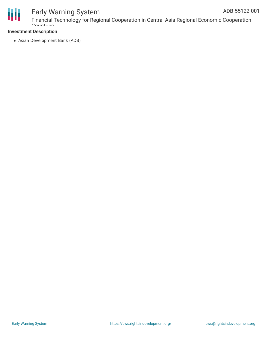

## Early Warning System

Financial Technology for Regional Cooperation in Central Asia Regional Economic Cooperation Countries

## **Investment Description**

Asian Development Bank (ADB)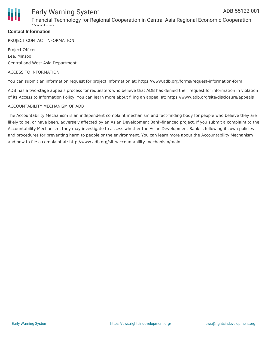

## Financial Technology for Regional Cooperation in Central Asia Regional Economic Cooperation  $C_{\Omega}$

## **Contact Information**

PROJECT CONTACT INFORMATION

Project Officer Lee, Minsoo Central and West Asia Department

#### ACCESS TO INFORMATION

You can submit an information request for project information at: https://www.adb.org/forms/request-information-form

ADB has a two-stage appeals process for requesters who believe that ADB has denied their request for information in violation of its Access to Information Policy. You can learn more about filing an appeal at: https://www.adb.org/site/disclosure/appeals

#### ACCOUNTABILITY MECHANISM OF ADB

The Accountability Mechanism is an independent complaint mechanism and fact-finding body for people who believe they are likely to be, or have been, adversely affected by an Asian Development Bank-financed project. If you submit a complaint to the Accountability Mechanism, they may investigate to assess whether the Asian Development Bank is following its own policies and procedures for preventing harm to people or the environment. You can learn more about the Accountability Mechanism and how to file a complaint at: http://www.adb.org/site/accountability-mechanism/main.